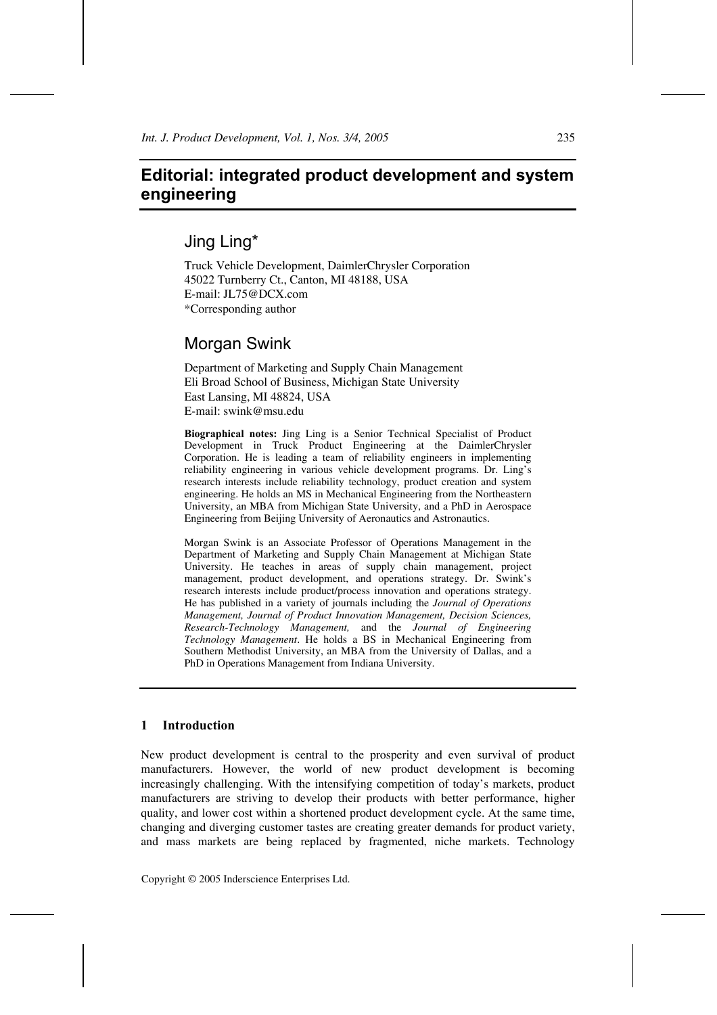# **Editorial: integrated product development and system engineering**

# Jing Ling\*

Truck Vehicle Development, DaimlerChrysler Corporation 45022 Turnberry Ct., Canton, MI 48188, USA E-mail: JL75@DCX.com \*Corresponding author

# Morgan Swink

Department of Marketing and Supply Chain Management Eli Broad School of Business, Michigan State University East Lansing, MI 48824, USA E-mail: swink@msu.edu

**Biographical notes:** Jing Ling is a Senior Technical Specialist of Product Development in Truck Product Engineering at the DaimlerChrysler Corporation. He is leading a team of reliability engineers in implementing reliability engineering in various vehicle development programs. Dr. Ling's research interests include reliability technology, product creation and system engineering. He holds an MS in Mechanical Engineering from the Northeastern University, an MBA from Michigan State University, and a PhD in Aerospace Engineering from Beijing University of Aeronautics and Astronautics.

Morgan Swink is an Associate Professor of Operations Management in the Department of Marketing and Supply Chain Management at Michigan State University. He teaches in areas of supply chain management, project management, product development, and operations strategy. Dr. Swink's research interests include product/process innovation and operations strategy. He has published in a variety of journals including the *Journal of Operations Management, Journal of Product Innovation Management, Decision Sciences, Research-Technology Management,* and the *Journal of Engineering Technology Management*. He holds a BS in Mechanical Engineering from Southern Methodist University, an MBA from the University of Dallas, and a PhD in Operations Management from Indiana University.

### **1 Introduction**

New product development is central to the prosperity and even survival of product manufacturers. However, the world of new product development is becoming increasingly challenging. With the intensifying competition of today's markets, product manufacturers are striving to develop their products with better performance, higher quality, and lower cost within a shortened product development cycle. At the same time, changing and diverging customer tastes are creating greater demands for product variety, and mass markets are being replaced by fragmented, niche markets. Technology

Copyright © 2005 Inderscience Enterprises Ltd.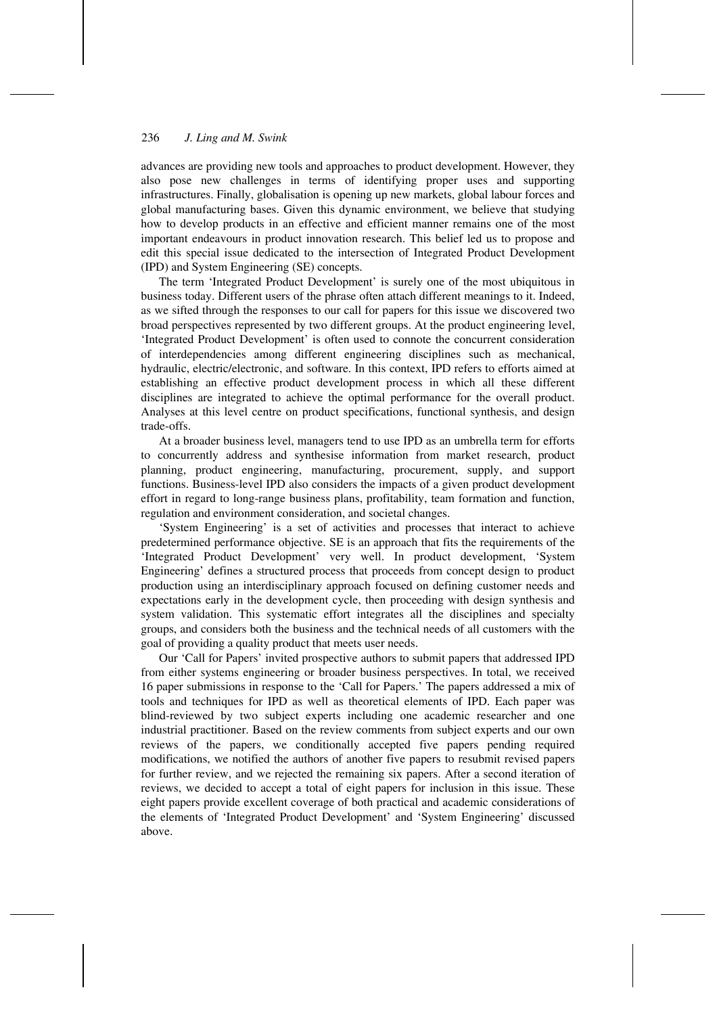#### 236 *J. Ling and M. Swink*

advances are providing new tools and approaches to product development. However, they also pose new challenges in terms of identifying proper uses and supporting infrastructures. Finally, globalisation is opening up new markets, global labour forces and global manufacturing bases. Given this dynamic environment, we believe that studying how to develop products in an effective and efficient manner remains one of the most important endeavours in product innovation research. This belief led us to propose and edit this special issue dedicated to the intersection of Integrated Product Development (IPD) and System Engineering (SE) concepts.

The term 'Integrated Product Development' is surely one of the most ubiquitous in business today. Different users of the phrase often attach different meanings to it. Indeed, as we sifted through the responses to our call for papers for this issue we discovered two broad perspectives represented by two different groups. At the product engineering level, 'Integrated Product Development' is often used to connote the concurrent consideration of interdependencies among different engineering disciplines such as mechanical, hydraulic, electric/electronic, and software. In this context, IPD refers to efforts aimed at establishing an effective product development process in which all these different disciplines are integrated to achieve the optimal performance for the overall product. Analyses at this level centre on product specifications, functional synthesis, and design trade-offs.

At a broader business level, managers tend to use IPD as an umbrella term for efforts to concurrently address and synthesise information from market research, product planning, product engineering, manufacturing, procurement, supply, and support functions. Business-level IPD also considers the impacts of a given product development effort in regard to long-range business plans, profitability, team formation and function, regulation and environment consideration, and societal changes.

'System Engineering' is a set of activities and processes that interact to achieve predetermined performance objective. SE is an approach that fits the requirements of the 'Integrated Product Development' very well. In product development, 'System Engineering' defines a structured process that proceeds from concept design to product production using an interdisciplinary approach focused on defining customer needs and expectations early in the development cycle, then proceeding with design synthesis and system validation. This systematic effort integrates all the disciplines and specialty groups, and considers both the business and the technical needs of all customers with the goal of providing a quality product that meets user needs.

Our 'Call for Papers' invited prospective authors to submit papers that addressed IPD from either systems engineering or broader business perspectives. In total, we received 16 paper submissions in response to the 'Call for Papers.' The papers addressed a mix of tools and techniques for IPD as well as theoretical elements of IPD. Each paper was blind-reviewed by two subject experts including one academic researcher and one industrial practitioner. Based on the review comments from subject experts and our own reviews of the papers, we conditionally accepted five papers pending required modifications, we notified the authors of another five papers to resubmit revised papers for further review, and we rejected the remaining six papers. After a second iteration of reviews, we decided to accept a total of eight papers for inclusion in this issue. These eight papers provide excellent coverage of both practical and academic considerations of the elements of 'Integrated Product Development' and 'System Engineering' discussed above.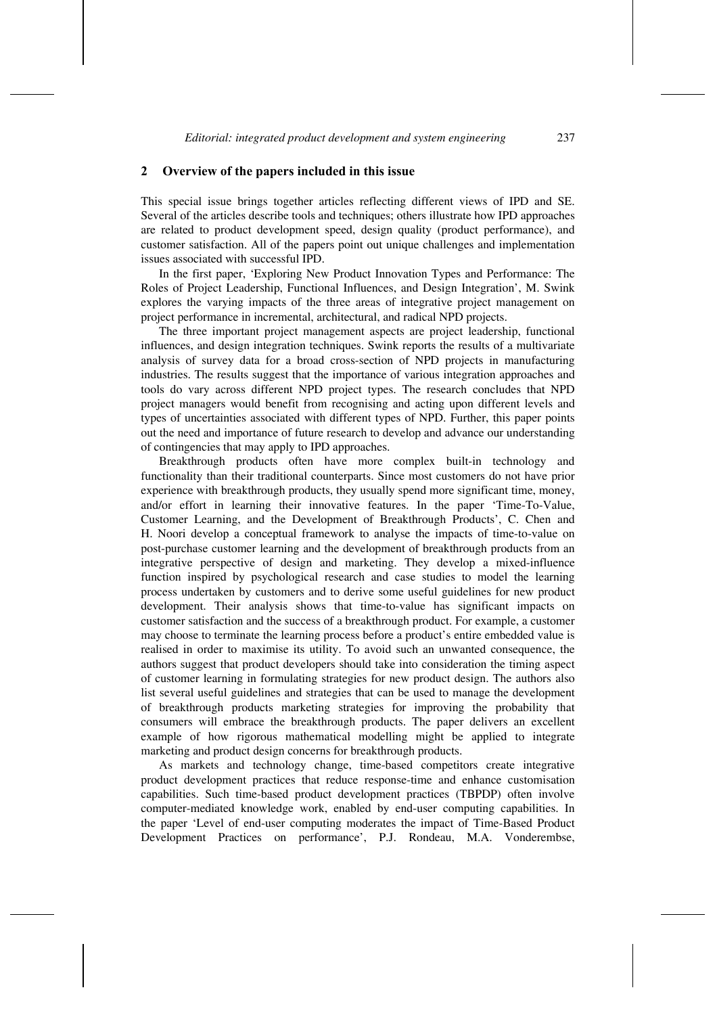#### **2 Overview of the papers included in this issue**

This special issue brings together articles reflecting different views of IPD and SE. Several of the articles describe tools and techniques; others illustrate how IPD approaches are related to product development speed, design quality (product performance), and customer satisfaction. All of the papers point out unique challenges and implementation issues associated with successful IPD.

In the first paper, 'Exploring New Product Innovation Types and Performance: The Roles of Project Leadership, Functional Influences, and Design Integration', M. Swink explores the varying impacts of the three areas of integrative project management on project performance in incremental, architectural, and radical NPD projects.

The three important project management aspects are project leadership, functional influences, and design integration techniques. Swink reports the results of a multivariate analysis of survey data for a broad cross-section of NPD projects in manufacturing industries. The results suggest that the importance of various integration approaches and tools do vary across different NPD project types. The research concludes that NPD project managers would benefit from recognising and acting upon different levels and types of uncertainties associated with different types of NPD. Further, this paper points out the need and importance of future research to develop and advance our understanding of contingencies that may apply to IPD approaches.

Breakthrough products often have more complex built-in technology and functionality than their traditional counterparts. Since most customers do not have prior experience with breakthrough products, they usually spend more significant time, money, and/or effort in learning their innovative features. In the paper 'Time-To-Value, Customer Learning, and the Development of Breakthrough Products', C. Chen and H. Noori develop a conceptual framework to analyse the impacts of time-to-value on post-purchase customer learning and the development of breakthrough products from an integrative perspective of design and marketing. They develop a mixed-influence function inspired by psychological research and case studies to model the learning process undertaken by customers and to derive some useful guidelines for new product development. Their analysis shows that time-to-value has significant impacts on customer satisfaction and the success of a breakthrough product. For example, a customer may choose to terminate the learning process before a product's entire embedded value is realised in order to maximise its utility. To avoid such an unwanted consequence, the authors suggest that product developers should take into consideration the timing aspect of customer learning in formulating strategies for new product design. The authors also list several useful guidelines and strategies that can be used to manage the development of breakthrough products marketing strategies for improving the probability that consumers will embrace the breakthrough products. The paper delivers an excellent example of how rigorous mathematical modelling might be applied to integrate marketing and product design concerns for breakthrough products.

As markets and technology change, time-based competitors create integrative product development practices that reduce response-time and enhance customisation capabilities. Such time-based product development practices (TBPDP) often involve computer-mediated knowledge work, enabled by end-user computing capabilities. In the paper 'Level of end-user computing moderates the impact of Time-Based Product Development Practices on performance', P.J. Rondeau, M.A. Vonderembse,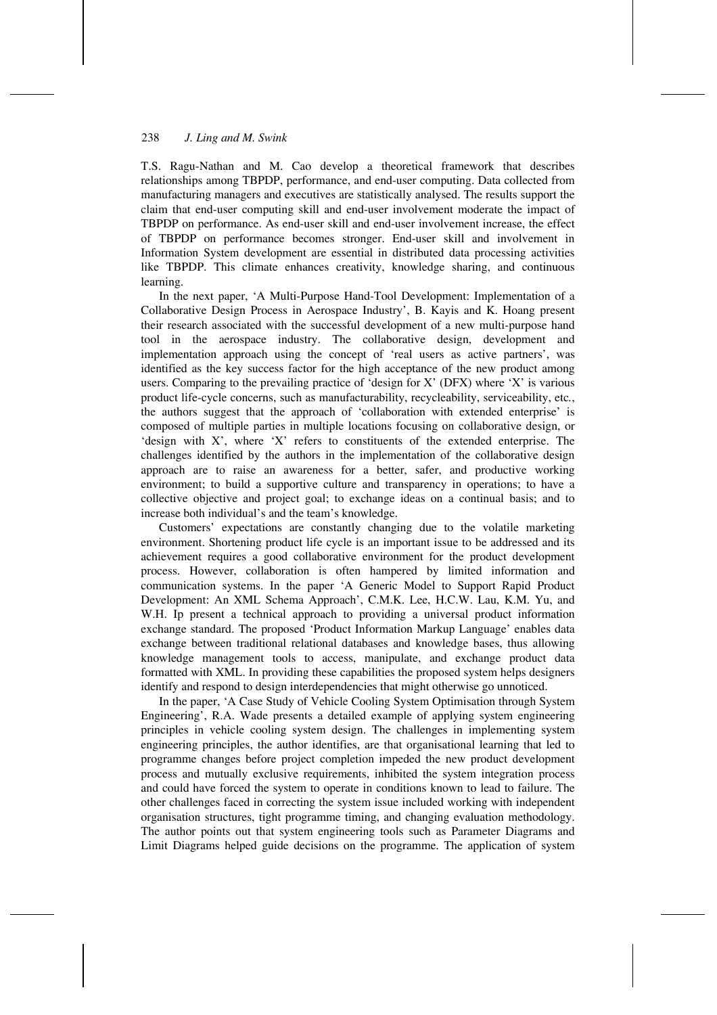#### 238 *J. Ling and M. Swink*

T.S. Ragu-Nathan and M. Cao develop a theoretical framework that describes relationships among TBPDP, performance, and end-user computing. Data collected from manufacturing managers and executives are statistically analysed. The results support the claim that end-user computing skill and end-user involvement moderate the impact of TBPDP on performance. As end-user skill and end-user involvement increase, the effect of TBPDP on performance becomes stronger. End-user skill and involvement in Information System development are essential in distributed data processing activities like TBPDP. This climate enhances creativity, knowledge sharing, and continuous learning.

In the next paper, 'A Multi-Purpose Hand-Tool Development: Implementation of a Collaborative Design Process in Aerospace Industry', B. Kayis and K. Hoang present their research associated with the successful development of a new multi-purpose hand tool in the aerospace industry. The collaborative design, development and implementation approach using the concept of 'real users as active partners', was identified as the key success factor for the high acceptance of the new product among users. Comparing to the prevailing practice of 'design for X' (DFX) where 'X' is various product life-cycle concerns, such as manufacturability, recycleability, serviceability, etc*.*, the authors suggest that the approach of 'collaboration with extended enterprise' is composed of multiple parties in multiple locations focusing on collaborative design, or 'design with X', where 'X' refers to constituents of the extended enterprise. The challenges identified by the authors in the implementation of the collaborative design approach are to raise an awareness for a better, safer, and productive working environment; to build a supportive culture and transparency in operations; to have a collective objective and project goal; to exchange ideas on a continual basis; and to increase both individual's and the team's knowledge.

Customers' expectations are constantly changing due to the volatile marketing environment. Shortening product life cycle is an important issue to be addressed and its achievement requires a good collaborative environment for the product development process. However, collaboration is often hampered by limited information and communication systems. In the paper 'A Generic Model to Support Rapid Product Development: An XML Schema Approach', C.M.K. Lee, H.C.W. Lau, K.M. Yu, and W.H. Ip present a technical approach to providing a universal product information exchange standard. The proposed 'Product Information Markup Language' enables data exchange between traditional relational databases and knowledge bases, thus allowing knowledge management tools to access, manipulate, and exchange product data formatted with XML. In providing these capabilities the proposed system helps designers identify and respond to design interdependencies that might otherwise go unnoticed.

In the paper, 'A Case Study of Vehicle Cooling System Optimisation through System Engineering', R.A. Wade presents a detailed example of applying system engineering principles in vehicle cooling system design. The challenges in implementing system engineering principles, the author identifies, are that organisational learning that led to programme changes before project completion impeded the new product development process and mutually exclusive requirements, inhibited the system integration process and could have forced the system to operate in conditions known to lead to failure. The other challenges faced in correcting the system issue included working with independent organisation structures, tight programme timing, and changing evaluation methodology. The author points out that system engineering tools such as Parameter Diagrams and Limit Diagrams helped guide decisions on the programme. The application of system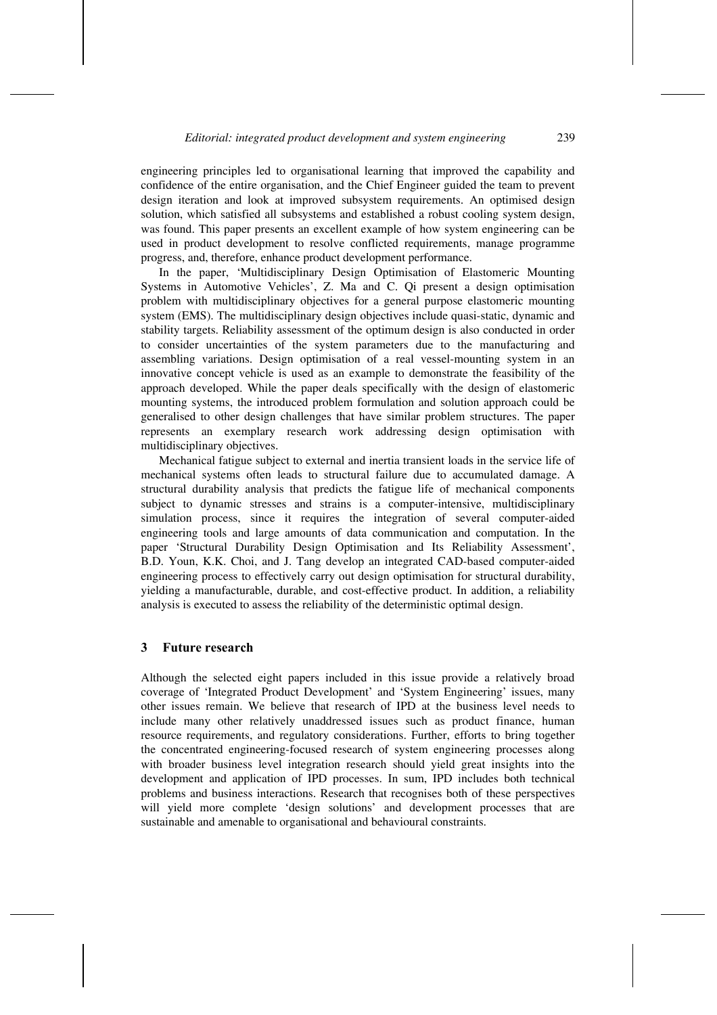engineering principles led to organisational learning that improved the capability and confidence of the entire organisation, and the Chief Engineer guided the team to prevent design iteration and look at improved subsystem requirements. An optimised design solution, which satisfied all subsystems and established a robust cooling system design, was found. This paper presents an excellent example of how system engineering can be used in product development to resolve conflicted requirements, manage programme progress, and, therefore, enhance product development performance.

In the paper, 'Multidisciplinary Design Optimisation of Elastomeric Mounting Systems in Automotive Vehicles', Z. Ma and C. Qi present a design optimisation problem with multidisciplinary objectives for a general purpose elastomeric mounting system (EMS). The multidisciplinary design objectives include quasi-static, dynamic and stability targets. Reliability assessment of the optimum design is also conducted in order to consider uncertainties of the system parameters due to the manufacturing and assembling variations. Design optimisation of a real vessel-mounting system in an innovative concept vehicle is used as an example to demonstrate the feasibility of the approach developed. While the paper deals specifically with the design of elastomeric mounting systems, the introduced problem formulation and solution approach could be generalised to other design challenges that have similar problem structures. The paper represents an exemplary research work addressing design optimisation with multidisciplinary objectives.

Mechanical fatigue subject to external and inertia transient loads in the service life of mechanical systems often leads to structural failure due to accumulated damage. A structural durability analysis that predicts the fatigue life of mechanical components subject to dynamic stresses and strains is a computer-intensive, multidisciplinary simulation process, since it requires the integration of several computer-aided engineering tools and large amounts of data communication and computation. In the paper 'Structural Durability Design Optimisation and Its Reliability Assessment', B.D. Youn, K.K. Choi, and J. Tang develop an integrated CAD-based computer-aided engineering process to effectively carry out design optimisation for structural durability, yielding a manufacturable, durable, and cost-effective product. In addition, a reliability analysis is executed to assess the reliability of the deterministic optimal design.

#### **3 Future research**

Although the selected eight papers included in this issue provide a relatively broad coverage of 'Integrated Product Development' and 'System Engineering' issues, many other issues remain. We believe that research of IPD at the business level needs to include many other relatively unaddressed issues such as product finance, human resource requirements, and regulatory considerations. Further, efforts to bring together the concentrated engineering-focused research of system engineering processes along with broader business level integration research should yield great insights into the development and application of IPD processes. In sum, IPD includes both technical problems and business interactions. Research that recognises both of these perspectives will yield more complete 'design solutions' and development processes that are sustainable and amenable to organisational and behavioural constraints.